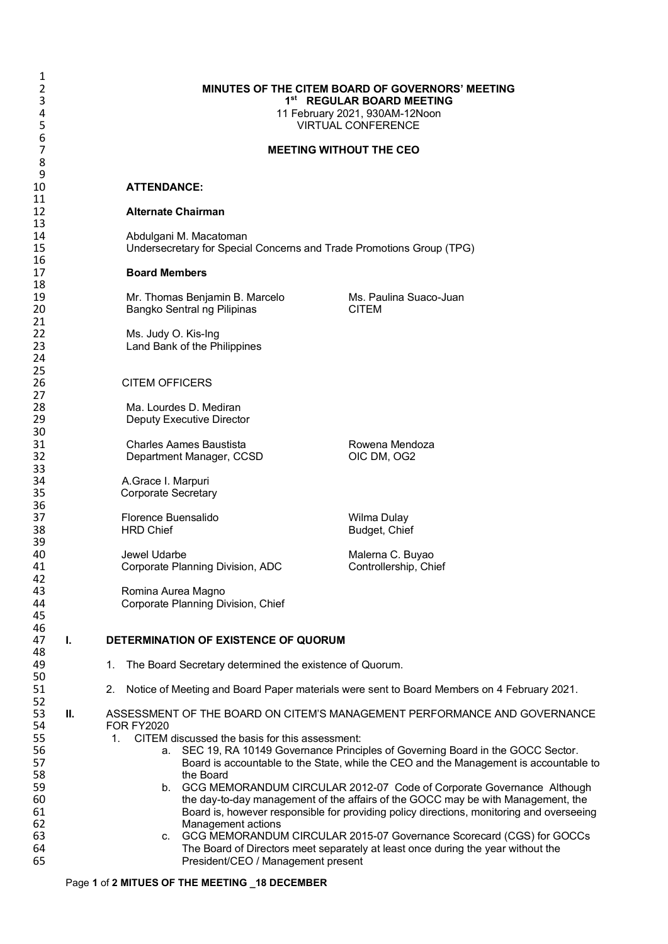# 2 **MINUTES OF THE CITEM BOARD OF GOVERNORS' MEETING 1**st **REGULAR BOARD MEETING**<br>**11 February 2021, 930AM-12Noon**

4 11 February 2021, 930AM-12Noon<br>5 11 February 2021, 930AM-12Noon **VIRTUAL CONFERENCE** 

# 7 **MEETING WITHOUT THE CEO**

# 10 **ATTENDANCE:**

#### 12 **Alternate Chairman**

14 **Abdulgani M. Macatoman**<br>15 **Mature Undersecretary for Special** 15 Undersecretary for Special Concerns and Trade Promotions Group (TPG)

### 17 **Board Members**

19 19 Mr. Thomas Benjamin B. Marcelo Ms. Paulina Suaco-Juan<br>20 Ms. Pangko Sentral ng Pilipinas CLTEM Bangko Sentral ng Pilipinas

22 Ms. Judy O. Kis-Ing Land Bank of the Philippines

# 26 CITEM OFFICERS

28 Ma. Lourdes D. Mediran<br>29 Deputy Executive Directo Deputy Executive Director

31 Charles Aames Baustista **Rowena Mendoza**<br>32 Department Manager, CCSD COM, OG2 Department Manager, CCSD

34 A.Grace I. Marpuri Corporate Secretary

37 Florence Buensalido Milliam Mullay Wilma Dulay<br>18 FIRD Chief Management Rudget, Chie

Jewel Udarbe **Maleria C. Buyao**<br>
Corporate Planning Division, ADC **Maleria Controllership, Chief** 41 Corporate Planning Division, ADC

Romina Aurea Magno 44 Corporate Planning Division, Chief

Budget, Chief

# 47 **I. DETERMINATION OF EXISTENCE OF QUORUM**

- 1. The Board Secretary determined the existence of Quorum.
- 51 2. Notice of Meeting and Board Paper materials were sent to Board Members on 4 February 2021.
- 53 **II.** ASSESSMENT OF THE BOARD ON CITEM'S MANAGEMENT PERFORMANCE AND GOVERNANCE 54 FOR FY2020
- 55 1. CITEM discussed the basis for this assessment:<br>56 1. CITEM discussed the basis for this assessment:<br>56 2. SEC 19, RA 10149 Governance Princi
- 56 **a.** SEC 19, RA 10149 Governance Principles of Governing Board in the GOCC Sector.<br>Board is accountable to the State. while the CEO and the Management is accountab 57 **Board is accountable to the State, while the CEO and the Management is accountable to 58** the Board 58 the Board<br>59 b. GCG MEN
- b. GCG MEMORANDUM CIRCULAR 2012-07 Code of Corporate Governance Although 60 the day-to-day management of the affairs of the GOCC may be with Management, the<br>61 61 EBoard is, however responsible for providing policy directions, monitoring and overseein 61 Board is, however responsible for providing policy directions, monitoring and overseeing<br>62 Management actions
- 62 Management actions 63 c. GCG MEMORANDUM CIRCULAR 2015-07 Governance Scorecard (CGS) for GOCCs<br>64 The Board of Directors meet separately at least once during the year without the 64 The Board of Directors meet separately at least once during the year without the<br>65 The Sident/CEO / Management present President/CEO / Management present